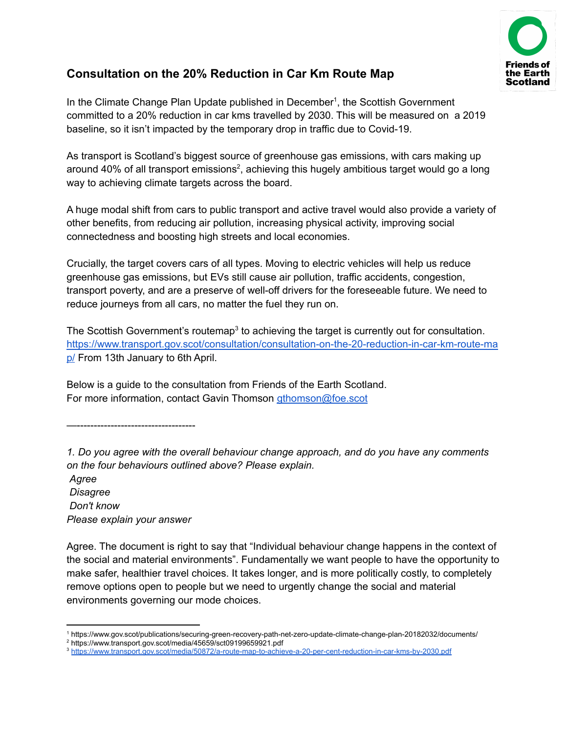

# **Consultation on the 20% Reduction in Car Km Route Map**

In the Climate Change Plan Update published in December<sup>1</sup>, the Scottish Government committed to a 20% reduction in car kms travelled by 2030. This will be measured on a 2019 baseline, so it isn't impacted by the temporary drop in traffic due to Covid-19.

As transport is Scotland's biggest source of greenhouse gas emissions, with cars making up around 40% of all transport emissions<sup>2</sup>, achieving this hugely ambitious target would go a long way to achieving climate targets across the board.

A huge modal shift from cars to public transport and active travel would also provide a variety of other benefits, from reducing air pollution, increasing physical activity, improving social connectedness and boosting high streets and local economies.

Crucially, the target covers cars of all types. Moving to electric vehicles will help us reduce greenhouse gas emissions, but EVs still cause air pollution, traffic accidents, congestion, transport poverty, and are a preserve of well-off drivers for the foreseeable future. We need to reduce journeys from all cars, no matter the fuel they run on.

The Scottish Government's routemap<sup>3</sup> to achieving the target is currently out for consultation. [https://www.transport.gov.scot/consultation/consultation-on-the-20-reduction-in-car-km-route-ma](https://www.transport.gov.scot/consultation/consultation-on-the-20-reduction-in-car-km-route-map/) [p/](https://www.transport.gov.scot/consultation/consultation-on-the-20-reduction-in-car-km-route-map/) From 13th January to 6th April.

Below is a guide to the consultation from Friends of the Earth Scotland. For more information, contact Gavin Thomson [gthomson@foe.scot](mailto:gthomson@foe.scot)

—-----------------------------------

*Agree Disagree Don't know Please explain your answer*

Agree. The document is right to say that "Individual behaviour change happens in the context of the social and material environments". Fundamentally we want people to have the opportunity to make safer, healthier travel choices. It takes longer, and is more politically costly, to completely remove options open to people but we need to urgently change the social and material environments governing our mode choices.

*<sup>1.</sup> Do you agree with the overall behaviour change approach, and do you have any comments on the four behaviours outlined above? Please explain.*

<sup>1</sup> https://www.gov.scot/publications/securing-green-recovery-path-net-zero-update-climate-change-plan-20182032/documents/

<sup>2</sup> https://www.transport.gov.scot/media/45659/sct09199659921.pdf

<sup>3</sup> <https://www.transport.gov.scot/media/50872/a-route-map-to-achieve-a-20-per-cent-reduction-in-car-kms-by-2030.pdf>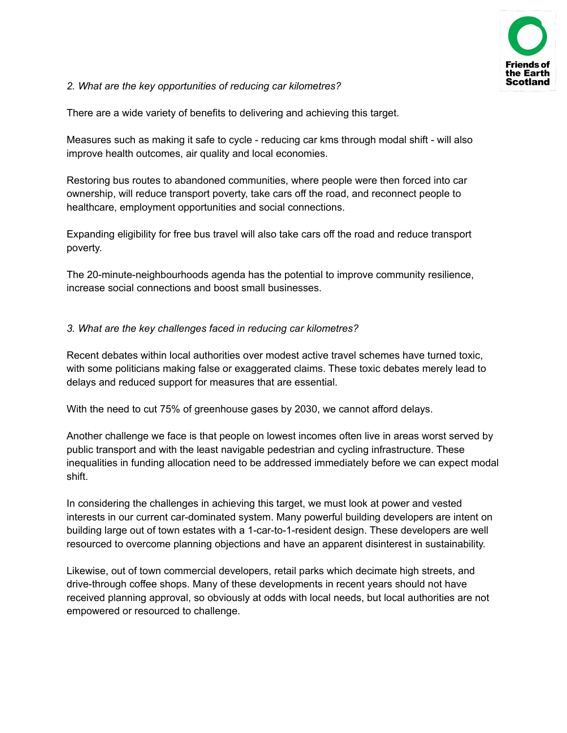

#### *2. What are the key opportunities of reducing car kilometres?*

There are a wide variety of benefits to delivering and achieving this target.

Measures such as making it safe to cycle - reducing car kms through modal shift - will also improve health outcomes, air quality and local economies.

Restoring bus routes to abandoned communities, where people were then forced into car ownership, will reduce transport poverty, take cars off the road, and reconnect people to healthcare, employment opportunities and social connections.

Expanding eligibility for free bus travel will also take cars off the road and reduce transport poverty.

The 20-minute-neighbourhoods agenda has the potential to improve community resilience, increase social connections and boost small businesses.

#### *3. What are the key challenges faced in reducing car kilometres?*

Recent debates within local authorities over modest active travel schemes have turned toxic, with some politicians making false or exaggerated claims. These toxic debates merely lead to delays and reduced support for measures that are essential.

With the need to cut 75% of greenhouse gases by 2030, we cannot afford delays.

Another challenge we face is that people on lowest incomes often live in areas worst served by public transport and with the least navigable pedestrian and cycling infrastructure. These inequalities in funding allocation need to be addressed immediately before we can expect modal shift.

In considering the challenges in achieving this target, we must look at power and vested interests in our current car-dominated system. Many powerful building developers are intent on building large out of town estates with a 1-car-to-1-resident design. These developers are well resourced to overcome planning objections and have an apparent disinterest in sustainability.

Likewise, out of town commercial developers, retail parks which decimate high streets, and drive-through coffee shops. Many of these developments in recent years should not have received planning approval, so obviously at odds with local needs, but local authorities are not empowered or resourced to challenge.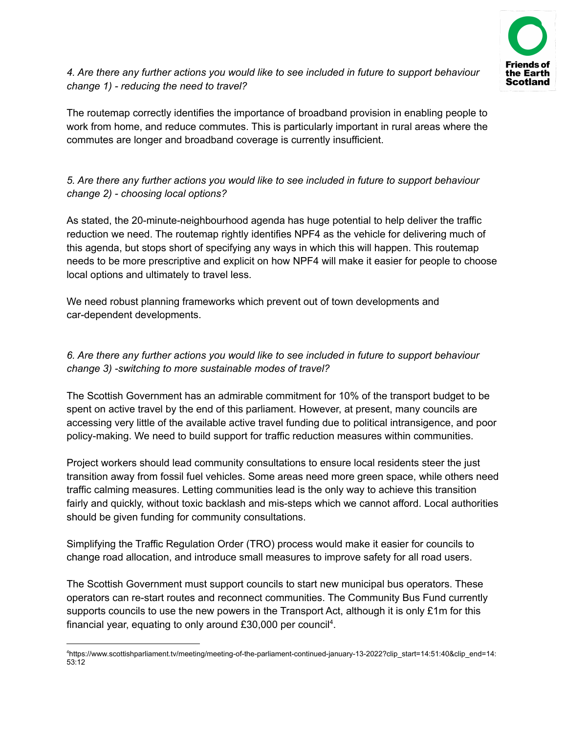

### *4. Are there any further actions you would like to see included in future to support behaviour change 1) - reducing the need to travel?*

The routemap correctly identifies the importance of broadband provision in enabling people to work from home, and reduce commutes. This is particularly important in rural areas where the commutes are longer and broadband coverage is currently insufficient.

## *5. Are there any further actions you would like to see included in future to support behaviour change 2) - choosing local options?*

As stated, the 20-minute-neighbourhood agenda has huge potential to help deliver the traffic reduction we need. The routemap rightly identifies NPF4 as the vehicle for delivering much of this agenda, but stops short of specifying any ways in which this will happen. This routemap needs to be more prescriptive and explicit on how NPF4 will make it easier for people to choose local options and ultimately to travel less.

We need robust planning frameworks which prevent out of town developments and car-dependent developments.

## *6. Are there any further actions you would like to see included in future to support behaviour change 3) -switching to more sustainable modes of travel?*

The Scottish Government has an admirable commitment for 10% of the transport budget to be spent on active travel by the end of this parliament. However, at present, many councils are accessing very little of the available active travel funding due to political intransigence, and poor policy-making. We need to build support for traffic reduction measures within communities.

Project workers should lead community consultations to ensure local residents steer the just transition away from fossil fuel vehicles. Some areas need more green space, while others need traffic calming measures. Letting communities lead is the only way to achieve this transition fairly and quickly, without toxic backlash and mis-steps which we cannot afford. Local authorities should be given funding for community consultations.

Simplifying the Traffic Regulation Order (TRO) process would make it easier for councils to change road allocation, and introduce small measures to improve safety for all road users.

The Scottish Government must support councils to start new municipal bus operators. These operators can re-start routes and reconnect communities. The Community Bus Fund currently supports councils to use the new powers in the Transport Act, although it is only £1m for this financial year, equating to only around £30,000 per council<sup>4</sup>.

<sup>4</sup>https://www.scottishparliament.tv/meeting/meeting-of-the-parliament-continued-january-13-2022?clip\_start=14:51:40&clip\_end=14: 53:12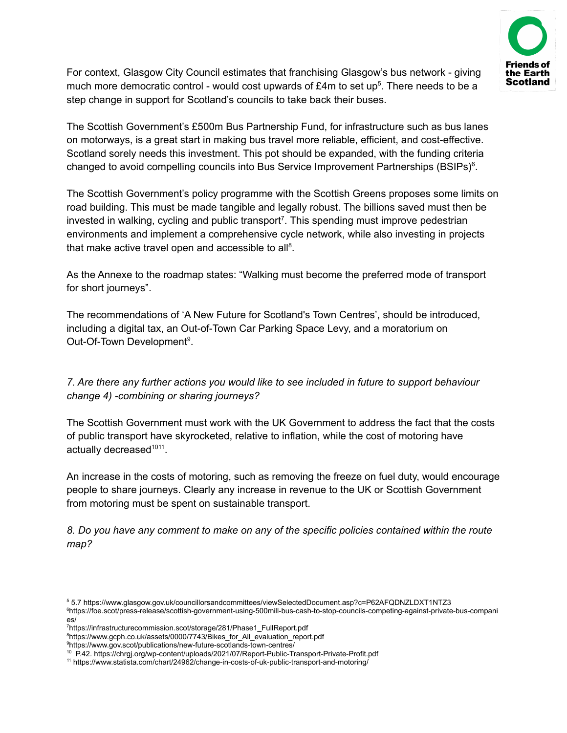

For context, Glasgow City Council estimates that franchising Glasgow's bus network - giving much more democratic control - would cost upwards of £4m to set up<sup>5</sup>. There needs to be a step change in support for Scotland's councils to take back their buses.

The Scottish Government's £500m Bus Partnership Fund, for infrastructure such as bus lanes on motorways, is a great start in making bus travel more reliable, efficient, and cost-effective. Scotland sorely needs this investment. This pot should be expanded, with the funding criteria changed to avoid compelling councils into Bus Service Improvement Partnerships (BSIPs)<sup>6</sup>.

The Scottish Government's policy programme with the Scottish Greens proposes some limits on road building. This must be made tangible and legally robust. The billions saved must then be invested in walking, cycling and public transport<sup>7</sup>. This spending must improve pedestrian environments and implement a comprehensive cycle network, while also investing in projects that make active travel open and accessible to all<sup>8</sup>.

As the Annexe to the roadmap states: "Walking must become the preferred mode of transport for short journeys".

The recommendations of 'A New Future for Scotland's Town Centres', should be introduced, including a digital tax, an Out-of-Town Car Parking Space Levy, and a moratorium on Out-Of-Town Development<sup>9</sup>.

### *7. Are there any further actions you would like to see included in future to support behaviour change 4) -combining or sharing journeys?*

The Scottish Government must work with the UK Government to address the fact that the costs of public transport have skyrocketed, relative to inflation, while the cost of motoring have actually decreased<sup>1011</sup>.

An increase in the costs of motoring, such as removing the freeze on fuel duty, would encourage people to share journeys. Clearly any increase in revenue to the UK or Scottish Government from motoring must be spent on sustainable transport.

*8. Do you have any comment to make on any of the specific policies contained within the route map?*

<sup>5</sup> 5.7 https://www.glasgow.gov.uk/councillorsandcommittees/viewSelectedDocument.asp?c=P62AFQDNZLDXT1NTZ3

<sup>6</sup>https://foe.scot/press-release/scottish-government-using-500mill-bus-cash-to-stop-councils-competing-against-private-bus-compani es/

<sup>7</sup>https://infrastructurecommission.scot/storage/281/Phase1\_FullReport.pdf

<sup>8</sup>https://www.gcph.co.uk/assets/0000/7743/Bikes\_for\_All\_evaluation\_report.pdf

<sup>9</sup>https://www.gov.scot/publications/new-future-scotlands-town-centres/

<sup>10</sup> P.42. https://chrgj.org/wp-content/uploads/2021/07/Report-Public-Transport-Private-Profit.pdf

<sup>11</sup> https://www.statista.com/chart/24962/change-in-costs-of-uk-public-transport-and-motoring/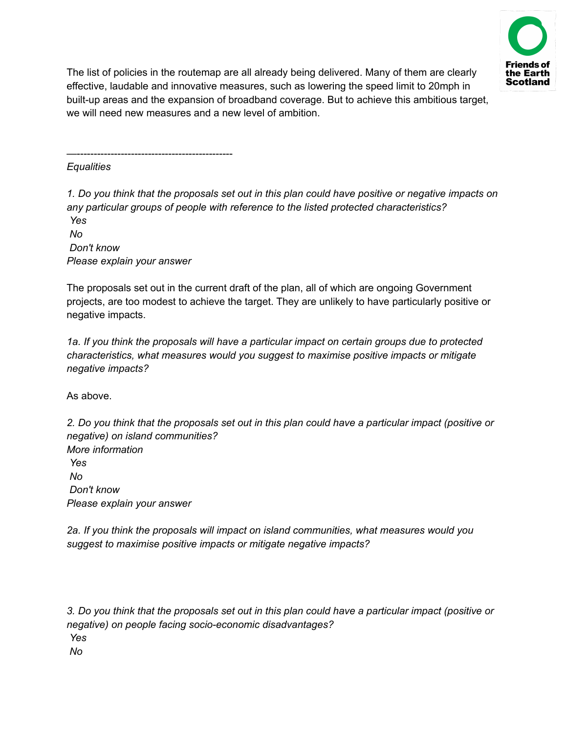

The list of policies in the routemap are all already being delivered. Many of them are clearly effective, laudable and innovative measures, such as lowering the speed limit to 20mph in built-up areas and the expansion of broadband coverage. But to achieve this ambitious target, we will need new measures and a new level of ambition.

*Equalities*

1. Do you think that the proposals set out in this plan could have positive or negative impacts on *any particular groups of people with reference to the listed protected characteristics? Yes No*

*Don't know Please explain your answer*

—----------------------------------------------

The proposals set out in the current draft of the plan, all of which are ongoing Government projects, are too modest to achieve the target. They are unlikely to have particularly positive or negative impacts.

*1a. If you think the proposals will have a particular impact on certain groups due to protected characteristics, what measures would you suggest to maximise positive impacts or mitigate negative impacts?*

As above.

2. Do you think that the proposals set out in this plan could have a particular impact (positive or *negative) on island communities? More information Yes No Don't know Please explain your answer*

*2a. If you think the proposals will impact on island communities, what measures would you suggest to maximise positive impacts or mitigate negative impacts?*

3. Do you think that the proposals set out in this plan could have a particular impact (positive or *negative) on people facing socio-economic disadvantages? Yes No*